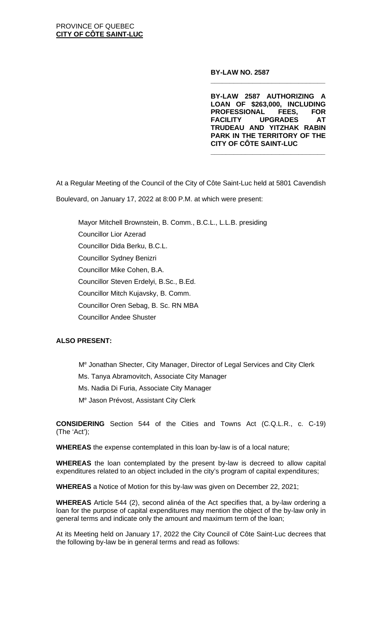### **BY-LAW NO. 2587**

**BY-LAW 2587 AUTHORIZING A LOAN OF \$263,000, INCLUDING PROFESSIONAL FEES, FOR UPGRADES TRUDEAU AND YITZHAK RABIN PARK IN THE TERRITORY OF THE CITY OF CÔTE SAINT-LUC** 

**\_\_\_\_\_\_\_\_\_\_\_\_\_\_\_\_\_\_\_\_\_\_\_\_\_\_\_\_\_\_**

**\_\_\_\_\_\_\_\_\_\_\_\_\_\_\_\_\_\_\_\_\_\_\_\_\_\_\_\_\_\_**

At a Regular Meeting of the Council of the City of Côte Saint-Luc held at 5801 Cavendish

Boulevard, on January 17, 2022 at 8:00 P.M. at which were present:

Mayor Mitchell Brownstein, B. Comm., B.C.L., L.L.B. presiding Councillor Lior Azerad Councillor Dida Berku, B.C.L. Councillor Sydney Benizri Councillor Mike Cohen, B.A. Councillor Steven Erdelyi, B.Sc., B.Ed. Councillor Mitch Kujavsky, B. Comm. Councillor Oren Sebag, B. Sc. RN MBA Councillor Andee Shuster

# **ALSO PRESENT:**

- Me Jonathan Shecter, City Manager, Director of Legal Services and City Clerk
- Ms. Tanya Abramovitch, Associate City Manager
- Ms. Nadia Di Furia, Associate City Manager
- Me Jason Prévost, Assistant City Clerk

**CONSIDERING** Section 544 of the Cities and Towns Act (C.Q.L.R., c. C-19) (The 'Act');

**WHEREAS** the expense contemplated in this loan by-law is of a local nature;

**WHEREAS** the loan contemplated by the present by-law is decreed to allow capital expenditures related to an object included in the city's program of capital expenditures;

**WHEREAS** a Notice of Motion for this by-law was given on December 22, 2021;

**WHEREAS** Article 544 (2), second alinéa of the Act specifies that, a by-law ordering a loan for the purpose of capital expenditures may mention the object of the by-law only in general terms and indicate only the amount and maximum term of the loan;

At its Meeting held on January 17, 2022 the City Council of Côte Saint-Luc decrees that the following by-law be in general terms and read as follows: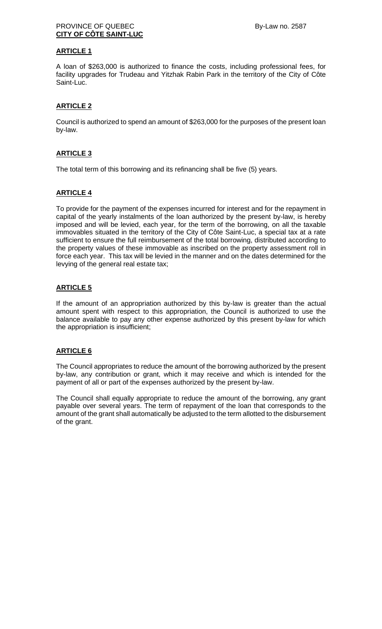## PROVINCE OF QUEBEC By-Law no. 2587 **CITY OF CÔTE SAINT-LUC**

## **ARTICLE 1**

A loan of \$263,000 is authorized to finance the costs, including professional fees, for facility upgrades for Trudeau and Yitzhak Rabin Park in the territory of the City of Côte Saint-Luc.

## **ARTICLE 2**

Council is authorized to spend an amount of \$263,000 for the purposes of the present loan by-law.

### **ARTICLE 3**

The total term of this borrowing and its refinancing shall be five (5) years.

### **ARTICLE 4**

To provide for the payment of the expenses incurred for interest and for the repayment in capital of the yearly instalments of the loan authorized by the present by-law, is hereby imposed and will be levied, each year, for the term of the borrowing, on all the taxable immovables situated in the territory of the City of Côte Saint-Luc, a special tax at a rate sufficient to ensure the full reimbursement of the total borrowing, distributed according to the property values of these immovable as inscribed on the property assessment roll in force each year. This tax will be levied in the manner and on the dates determined for the levying of the general real estate tax;

### **ARTICLE 5**

If the amount of an appropriation authorized by this by-law is greater than the actual amount spent with respect to this appropriation, the Council is authorized to use the balance available to pay any other expense authorized by this present by-law for which the appropriation is insufficient;

#### **ARTICLE 6**

The Council appropriates to reduce the amount of the borrowing authorized by the present by-law, any contribution or grant, which it may receive and which is intended for the payment of all or part of the expenses authorized by the present by-law.

The Council shall equally appropriate to reduce the amount of the borrowing, any grant payable over several years. The term of repayment of the loan that corresponds to the amount of the grant shall automatically be adjusted to the term allotted to the disbursement of the grant.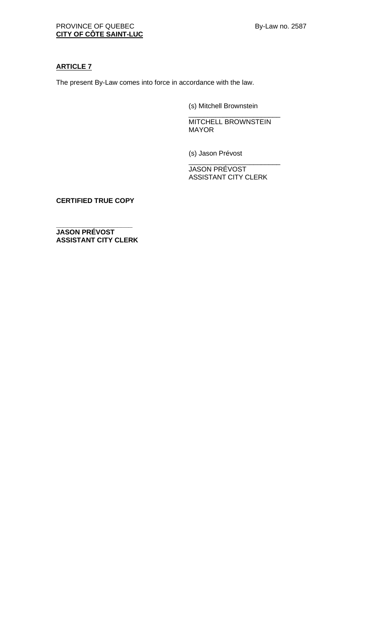## **ARTICLE 7**

The present By-Law comes into force in accordance with the law.

(s) Mitchell Brownstein

\_\_\_\_\_\_\_\_\_\_\_\_\_\_\_\_\_\_\_\_\_\_\_\_ MITCHELL BROWNSTEIN MAYOR

(s) Jason Prévost

JASON PRÉVOST ASSISTANT CITY CLERK

\_\_\_\_\_\_\_\_\_\_\_\_\_\_\_\_\_\_\_\_\_\_\_\_

**CERTIFIED TRUE COPY**

**\_\_\_\_\_\_\_\_\_\_\_\_\_\_\_\_\_\_\_\_ JASON PRÉVOST ASSISTANT CITY CLERK**